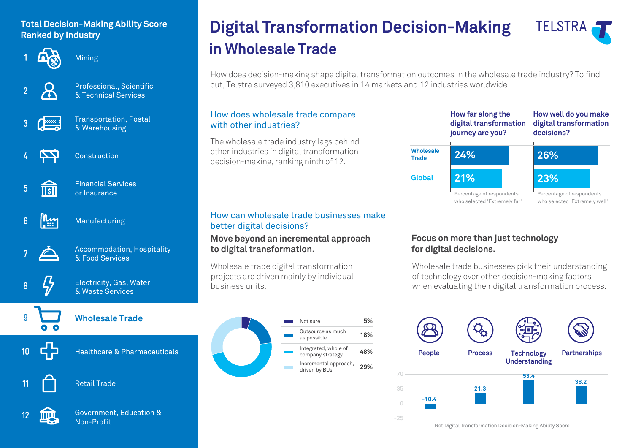# **Ranked by Industry**



Mining



Professional, Scientific & Technical Services



Transportation, Postal & Warehousing

Financial Services or Insurance



Construction

- **5**  $\overline{\text{TSII}}$
- البياا **6**

Manufacturing



Accommodation, Hospitality & Food Services

**8**

**9**

**10**

**11**

## **Wholesale Trade**

Electricity, Gas, Water & Waste Services

Healthcare & Pharmaceuticals

## Retail Trade



Government, Education & Non-Profit

# **in Wholesale Trade Digital Transformation Decision-Making Total Decision-Making Ability Score**



How does decision-making shape digital transformation outcomes in the wholesale trade industry? To find out, Telstra surveyed 3,810 executives in 14 markets and 12 industries worldwide.

#### How does wholesale trade compare with other industries?

The wholesale trade industry lags behind other industries in digital transformation decision-making, ranking ninth of 12.

#### How can wholesale trade businesses make better digital decisions?

#### **Move beyond an incremental approach to digital transformation.**

Wholesale trade digital transformation projects are driven mainly by individual business units.





#### **Focus on more than just technology for digital decisions.**

Wholesale trade businesses pick their understanding of technology over other decision-making factors when evaluating their digital transformation process.